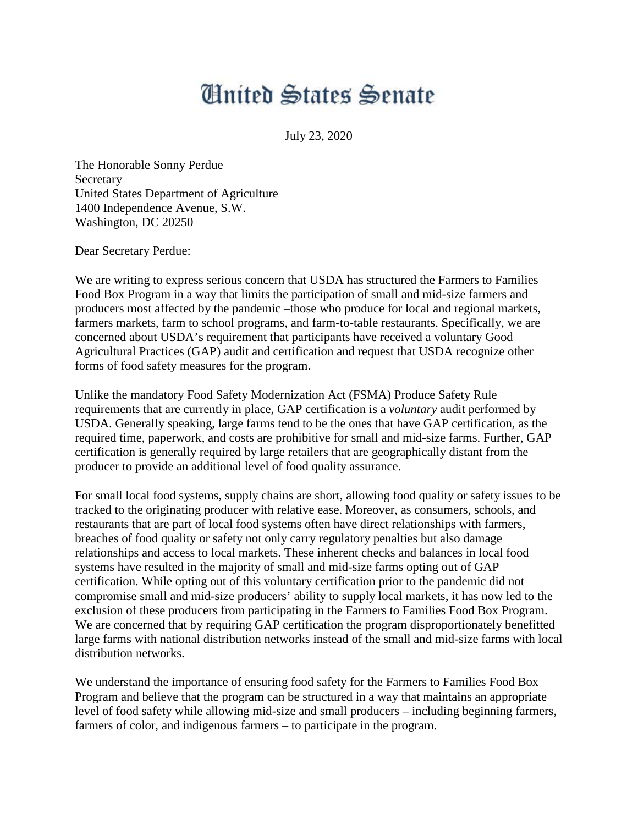## **Anited States Senate**

July 23, 2020

The Honorable Sonny Perdue Secretary United States Department of Agriculture 1400 Independence Avenue, S.W. Washington, DC 20250

Dear Secretary Perdue:

We are writing to express serious concern that USDA has structured the Farmers to Families Food Box Program in a way that limits the participation of small and mid-size farmers and producers most affected by the pandemic –those who produce for local and regional markets, farmers markets, farm to school programs, and farm-to-table restaurants. Specifically, we are concerned about USDA's requirement that participants have received a voluntary Good Agricultural Practices (GAP) audit and certification and request that USDA recognize other forms of food safety measures for the program.

Unlike the mandatory Food Safety Modernization Act (FSMA) Produce Safety Rule requirements that are currently in place, GAP certification is a *voluntary* audit performed by USDA. Generally speaking, large farms tend to be the ones that have GAP certification, as the required time, paperwork, and costs are prohibitive for small and mid-size farms. Further, GAP certification is generally required by large retailers that are geographically distant from the producer to provide an additional level of food quality assurance.

For small local food systems, supply chains are short, allowing food quality or safety issues to be tracked to the originating producer with relative ease. Moreover, as consumers, schools, and restaurants that are part of local food systems often have direct relationships with farmers, breaches of food quality or safety not only carry regulatory penalties but also damage relationships and access to local markets. These inherent checks and balances in local food systems have resulted in the majority of small and mid-size farms opting out of GAP certification. While opting out of this voluntary certification prior to the pandemic did not compromise small and mid-size producers' ability to supply local markets, it has now led to the exclusion of these producers from participating in the Farmers to Families Food Box Program. We are concerned that by requiring GAP certification the program disproportionately benefitted large farms with national distribution networks instead of the small and mid-size farms with local distribution networks.

We understand the importance of ensuring food safety for the Farmers to Families Food Box Program and believe that the program can be structured in a way that maintains an appropriate level of food safety while allowing mid-size and small producers – including beginning farmers, farmers of color, and indigenous farmers – to participate in the program.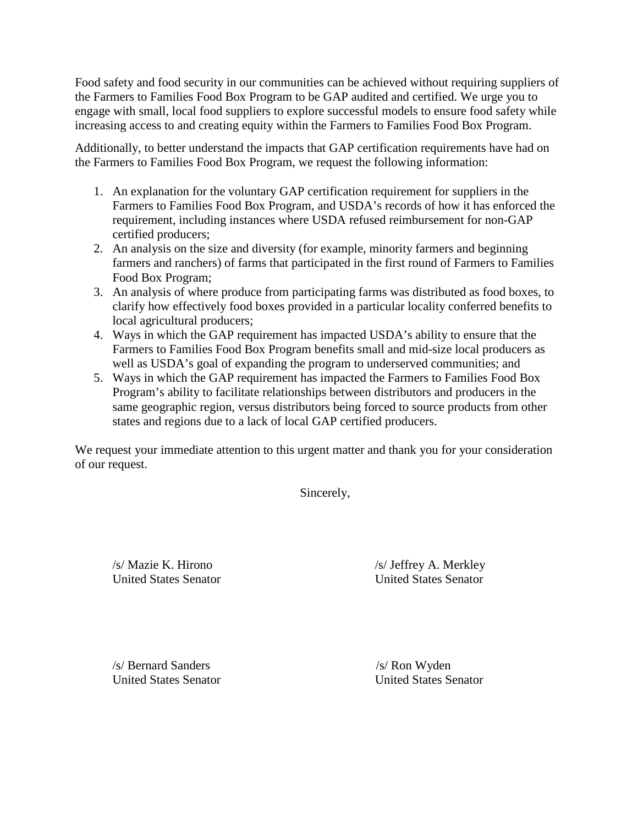Food safety and food security in our communities can be achieved without requiring suppliers of the Farmers to Families Food Box Program to be GAP audited and certified. We urge you to engage with small, local food suppliers to explore successful models to ensure food safety while increasing access to and creating equity within the Farmers to Families Food Box Program.

Additionally, to better understand the impacts that GAP certification requirements have had on the Farmers to Families Food Box Program, we request the following information:

- 1. An explanation for the voluntary GAP certification requirement for suppliers in the Farmers to Families Food Box Program, and USDA's records of how it has enforced the requirement, including instances where USDA refused reimbursement for non-GAP certified producers;
- 2. An analysis on the size and diversity (for example, minority farmers and beginning farmers and ranchers) of farms that participated in the first round of Farmers to Families Food Box Program;
- 3. An analysis of where produce from participating farms was distributed as food boxes, to clarify how effectively food boxes provided in a particular locality conferred benefits to local agricultural producers;
- 4. Ways in which the GAP requirement has impacted USDA's ability to ensure that the Farmers to Families Food Box Program benefits small and mid-size local producers as well as USDA's goal of expanding the program to underserved communities; and
- 5. Ways in which the GAP requirement has impacted the Farmers to Families Food Box Program's ability to facilitate relationships between distributors and producers in the same geographic region, versus distributors being forced to source products from other states and regions due to a lack of local GAP certified producers.

We request your immediate attention to this urgent matter and thank you for your consideration of our request.

Sincerely,

/s/ Mazie K. Hirono /s/ Jeffrey A. Merkley United States Senator United States Senator

/s/ Bernard Sanders /s/ Ron Wyden

United States Senator United States Senator